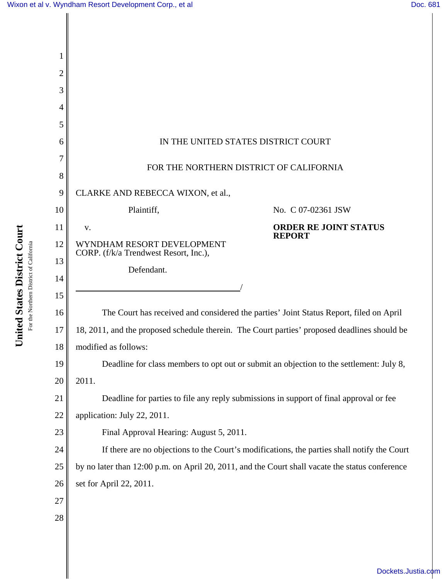| 2  |                                                                                                 |  |  |
|----|-------------------------------------------------------------------------------------------------|--|--|
| 3  |                                                                                                 |  |  |
| 4  |                                                                                                 |  |  |
| 5  |                                                                                                 |  |  |
| 6  | IN THE UNITED STATES DISTRICT COURT                                                             |  |  |
| 8  | FOR THE NORTHERN DISTRICT OF CALIFORNIA                                                         |  |  |
| 9  | CLARKE AND REBECCA WIXON, et al.,                                                               |  |  |
| 10 | Plaintiff,<br>No. C 07-02361 JSW                                                                |  |  |
| 11 | <b>ORDER RE JOINT STATUS</b><br>V.                                                              |  |  |
| 12 | <b>REPORT</b><br>WYNDHAM RESORT DEVELOPMENT<br>CORP. (f/k/a Trendwest Resort, Inc.),            |  |  |
| 13 | Defendant.                                                                                      |  |  |
| 14 |                                                                                                 |  |  |
| 15 |                                                                                                 |  |  |
| 16 | The Court has received and considered the parties' Joint Status Report, filed on April          |  |  |
| 17 | 18, 2011, and the proposed schedule therein. The Court parties' proposed deadlines should be    |  |  |
| 18 | modified as follows:                                                                            |  |  |
| 19 | Deadline for class members to opt out or submit an objection to the settlement: July 8,         |  |  |
| 20 | 2011.                                                                                           |  |  |
| 21 | Deadline for parties to file any reply submissions in support of final approval or fee          |  |  |
| 22 | application: July 22, 2011.                                                                     |  |  |
| 23 | Final Approval Hearing: August 5, 2011.                                                         |  |  |
| 24 | If there are no objections to the Court's modifications, the parties shall notify the Court     |  |  |
| 25 | by no later than 12:00 p.m. on April 20, 2011, and the Court shall vacate the status conference |  |  |
| 26 | set for April 22, 2011.                                                                         |  |  |
| 27 |                                                                                                 |  |  |
| 28 |                                                                                                 |  |  |
|    |                                                                                                 |  |  |